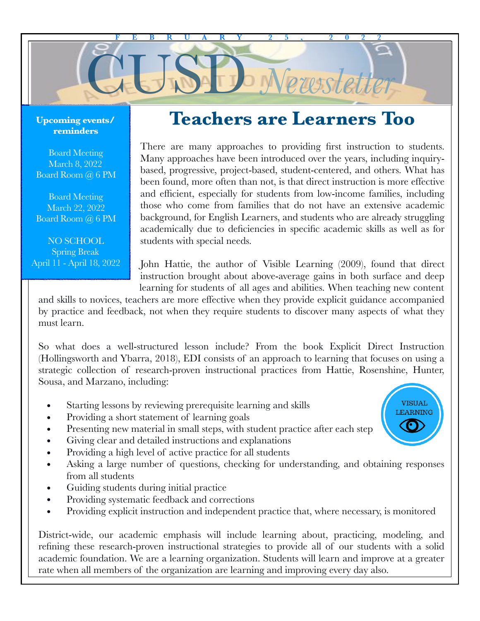

#### **Upcoming events/ reminders**

Board Meeting March 8, 2022 Board Room @ 6 PM

Board Meeting March 22, 2022 Board Room @ 6 PM

NO SCHOOL Spring Break April 11 - April 18, 2022

# **Teachers are Learners Too**

There are many approaches to providing first instruction to students. Many approaches have been introduced over the years, including inquirybased, progressive, project-based, student-centered, and others. What has been found, more often than not, is that direct instruction is more effective and efficient, especially for students from low-income families, including those who come from families that do not have an extensive academic background, for English Learners, and students who are already struggling academically due to deficiencies in specific academic skills as well as for students with special needs.

John Hattie, the author of Visible Learning (2009), found that direct instruction brought about above-average gains in both surface and deep learning for students of all ages and abilities. When teaching new content

and skills to novices, teachers are more effective when they provide explicit guidance accompanied by practice and feedback, not when they require students to discover many aspects of what they must learn.

So what does a well-structured lesson include? From the book Explicit Direct Instruction (Hollingsworth and Ybarra, 2018), EDI consists of an approach to learning that focuses on using a strategic collection of research-proven instructional practices from Hattie, Rosenshine, Hunter, Sousa, and Marzano, including:

- Starting lessons by reviewing prerequisite learning and skills
- Providing a short statement of learning goals
- Presenting new material in small steps, with student practice after each step
- Giving clear and detailed instructions and explanations
- Providing a high level of active practice for all students
- Asking a large number of questions, checking for understanding, and obtaining responses from all students
- Guiding students during initial practice
- Providing systematic feedback and corrections
- Providing explicit instruction and independent practice that, where necessary, is monitored

District-wide, our academic emphasis will include learning about, practicing, modeling, and refining these research-proven instructional strategies to provide all of our students with a solid academic foundation. We are a learning organization. Students will learn and improve at a greater rate when all members of the organization are learning and improving every day also.

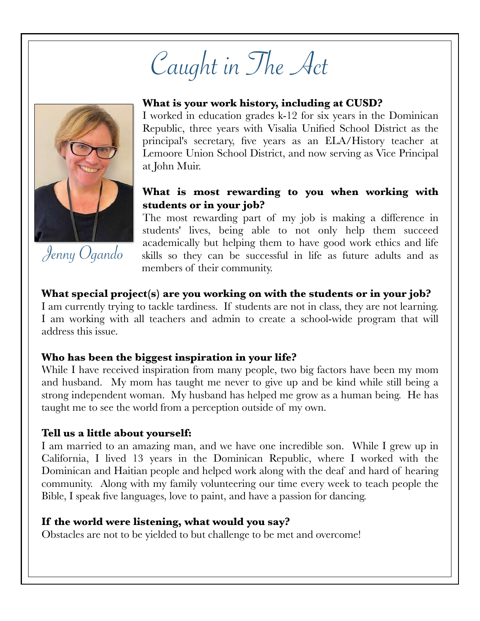Caught in The Act



Jenny Ogando

### **What is your work history, including at CUSD?**

I worked in education grades k-12 for six years in the Dominican Republic, three years with Visalia Unified School District as the principal's secretary, five years as an ELA/History teacher at Lemoore Union School District, and now serving as Vice Principal at John Muir.

## **What is most rewarding to you when working with students or in your job?**

The most rewarding part of my job is making a difference in students' lives, being able to not only help them succeed academically but helping them to have good work ethics and life skills so they can be successful in life as future adults and as members of their community.

#### **What special project(s) are you working on with the students or in your job?**

I am currently trying to tackle tardiness. If students are not in class, they are not learning. I am working with all teachers and admin to create a school-wide program that will address this issue.

#### **Who has been the biggest inspiration in your life?**

While I have received inspiration from many people, two big factors have been my mom and husband. My mom has taught me never to give up and be kind while still being a strong independent woman. My husband has helped me grow as a human being. He has taught me to see the world from a perception outside of my own.

#### **Tell us a little about yourself:**

I am married to an amazing man, and we have one incredible son. While I grew up in California, I lived 13 years in the Dominican Republic, where I worked with the Dominican and Haitian people and helped work along with the deaf and hard of hearing community. Along with my family volunteering our time every week to teach people the Bible, I speak five languages, love to paint, and have a passion for dancing.

#### **If the world were listening, what would you say?**

Obstacles are not to be yielded to but challenge to be met and overcome!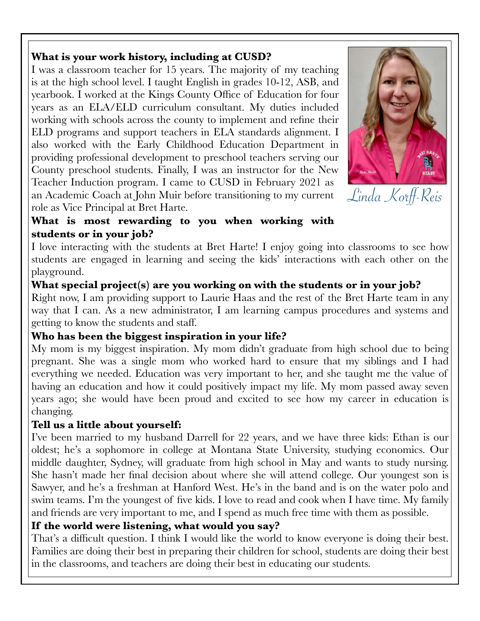# **What is your work history, including at CUSD?**

I was a classroom teacher for 15 years. The majority of my teaching is at the high school level. I taught English in grades 10-12, ASB, and yearbook. I worked at the Kings County Office of Education for four years as an ELA/ELD curriculum consultant. My duties included working with schools across the county to implement and refine their ELD programs and support teachers in ELA standards alignment. I also worked with the Early Childhood Education Department in providing professional development to preschool teachers serving our County preschool students. Finally, I was an instructor for the New Teacher Induction program. I came to CUSD in February 2021 as an Academic Coach at John Muir before transitioning to my current role as Vice Principal at Bret Harte.



Linda Korff-Reis

# **What is most rewarding to you when working with students or in your job?**

I love interacting with the students at Bret Harte! I enjoy going into classrooms to see how students are engaged in learning and seeing the kids' interactions with each other on the playground.

# **What special project(s) are you working on with the students or in your job?**

Right now, I am providing support to Laurie Haas and the rest of the Bret Harte team in any way that I can. As a new administrator, I am learning campus procedures and systems and getting to know the students and staff.

# **Who has been the biggest inspiration in your life?**

My mom is my biggest inspiration. My mom didn't graduate from high school due to being pregnant. She was a single mom who worked hard to ensure that my siblings and I had everything we needed. Education was very important to her, and she taught me the value of having an education and how it could positively impact my life. My mom passed away seven years ago; she would have been proud and excited to see how my career in education is changing.

# **Tell us a little about yourself:**

I've been married to my husband Darrell for 22 years, and we have three kids: Ethan is our oldest; he's a sophomore in college at Montana State University, studying economics. Our middle daughter, Sydney, will graduate from high school in May and wants to study nursing. She hasn't made her final decision about where she will attend college. Our youngest son is Sawyer, and he's a freshman at Hanford West. He's in the band and is on the water polo and swim teams. I'm the youngest of five kids. I love to read and cook when I have time. My family and friends are very important to me, and I spend as much free time with them as possible.

# **If the world were listening, what would you say?**

That's a difficult question. I think I would like the world to know everyone is doing their best. Families are doing their best in preparing their children for school, students are doing their best in the classrooms, and teachers are doing their best in educating our students.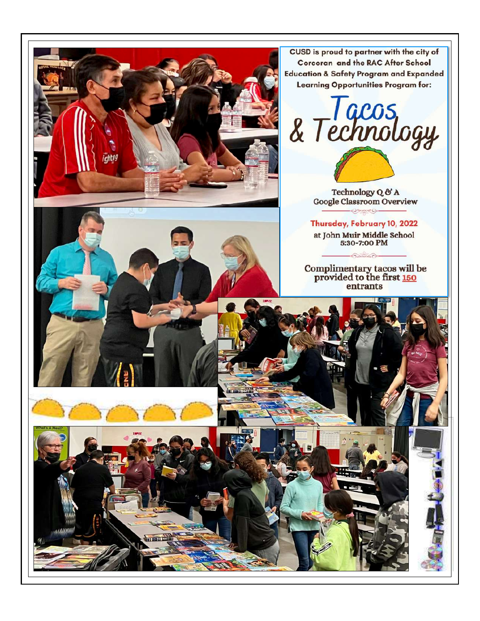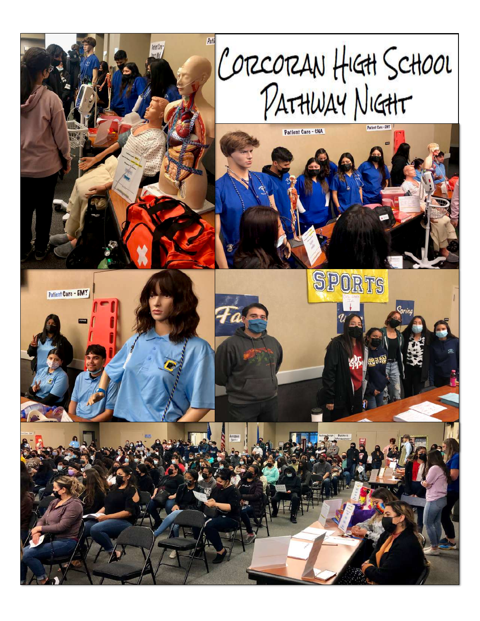